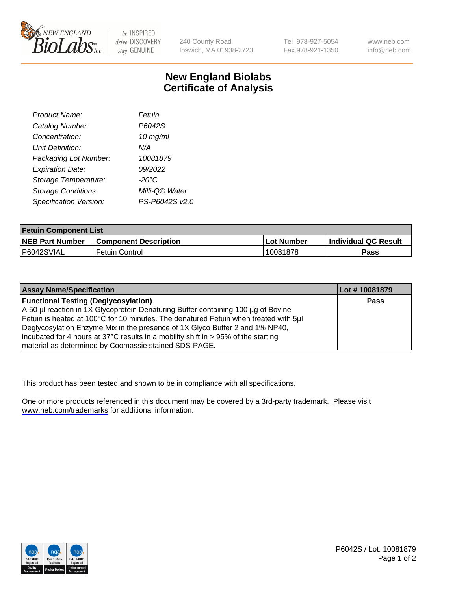

be INSPIRED drive DISCOVERY stay GENUINE

240 County Road Ipswich, MA 01938-2723 Tel 978-927-5054 Fax 978-921-1350

www.neb.com info@neb.com

## **New England Biolabs Certificate of Analysis**

| Product Name:              | Fetuin          |
|----------------------------|-----------------|
| Catalog Number:            | P6042S          |
| Concentration:             | $10$ mg/ml      |
| Unit Definition:           | N/A             |
| Packaging Lot Number:      | 10081879        |
| <b>Expiration Date:</b>    | 09/2022         |
| Storage Temperature:       | $-20^{\circ}$ C |
| <b>Storage Conditions:</b> | Milli-Q® Water  |
| Specification Version:     | PS-P6042S v2.0  |

| <b>Fetuin Component List</b> |                              |              |                      |  |
|------------------------------|------------------------------|--------------|----------------------|--|
| <b>NEB Part Number</b>       | <b>Component Description</b> | l Lot Number | Individual QC Result |  |
| P6042SVIAL                   | Fetuin Control               | 10081878     | Pass                 |  |

| <b>Assay Name/Specification</b>                                                      | Lot #10081879 |
|--------------------------------------------------------------------------------------|---------------|
| <b>Functional Testing (Deglycosylation)</b>                                          | <b>Pass</b>   |
| A 50 µl reaction in 1X Glycoprotein Denaturing Buffer containing 100 µg of Bovine    |               |
| Fetuin is heated at 100°C for 10 minutes. The denatured Fetuin when treated with 5µl |               |
| Deglycosylation Enzyme Mix in the presence of 1X Glyco Buffer 2 and 1% NP40,         |               |
| incubated for 4 hours at 37°C results in a mobility shift in > 95% of the starting   |               |
| material as determined by Coomassie stained SDS-PAGE.                                |               |

This product has been tested and shown to be in compliance with all specifications.

One or more products referenced in this document may be covered by a 3rd-party trademark. Please visit <www.neb.com/trademarks>for additional information.